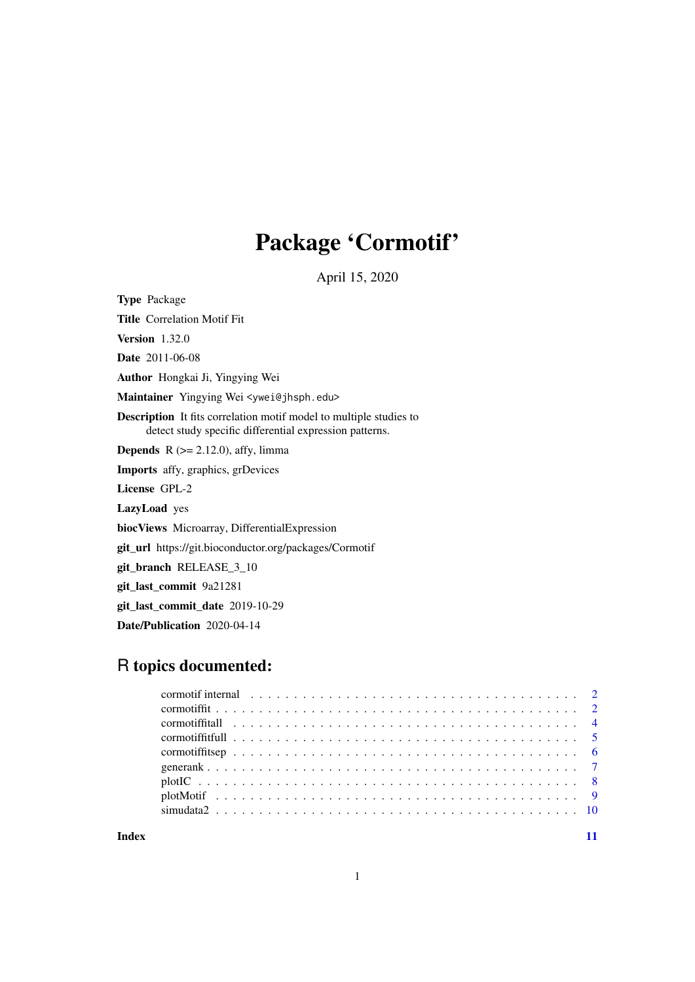## Package 'Cormotif'

April 15, 2020

Type Package

Title Correlation Motif Fit

Version 1.32.0

Date 2011-06-08

Author Hongkai Ji, Yingying Wei

Maintainer Yingying Wei <ywei@jhsph.edu>

Description It fits correlation motif model to multiple studies to detect study specific differential expression patterns.

**Depends** R  $(>= 2.12.0)$ , affy, limma

Imports affy, graphics, grDevices

License GPL-2

LazyLoad yes

biocViews Microarray, DifferentialExpression

git\_url https://git.bioconductor.org/packages/Cormotif

git\_branch RELEASE\_3\_10

git\_last\_commit 9a21281

git\_last\_commit\_date 2019-10-29

Date/Publication 2020-04-14

## R topics documented:

| cormotif internal enterprise in the correct of the correct of the correct of the correct of the correct of the correct of the correct of the correct of the correct of the correct of the correct of the correct of the correc |  |
|--------------------------------------------------------------------------------------------------------------------------------------------------------------------------------------------------------------------------------|--|
|                                                                                                                                                                                                                                |  |
|                                                                                                                                                                                                                                |  |
|                                                                                                                                                                                                                                |  |
|                                                                                                                                                                                                                                |  |
|                                                                                                                                                                                                                                |  |
|                                                                                                                                                                                                                                |  |
|                                                                                                                                                                                                                                |  |
|                                                                                                                                                                                                                                |  |
|                                                                                                                                                                                                                                |  |

**Index** [11](#page-10-0)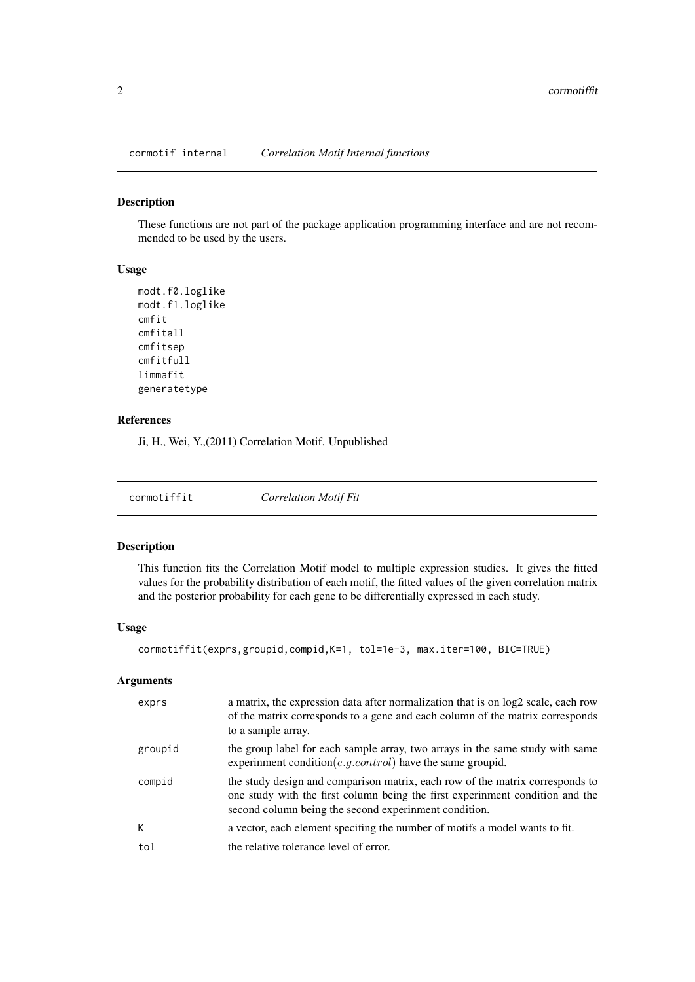<span id="page-1-0"></span>cormotif internal *Correlation Motif Internal functions*

## Description

These functions are not part of the package application programming interface and are not recommended to be used by the users.

### Usage

```
modt.f0.loglike
modt.f1.loglike
cmfit
cmfitall
cmfitsep
cmfitfull
limmafit
generatetype
```
## References

Ji, H., Wei, Y.,(2011) Correlation Motif. Unpublished

cormotiffit *Correlation Motif Fit*

## Description

This function fits the Correlation Motif model to multiple expression studies. It gives the fitted values for the probability distribution of each motif, the fitted values of the given correlation matrix and the posterior probability for each gene to be differentially expressed in each study.

#### Usage

```
cormotiffit(exprs,groupid,compid,K=1, tol=1e-3, max.iter=100, BIC=TRUE)
```
#### Arguments

| exprs   | a matrix, the expression data after normalization that is on log2 scale, each row<br>of the matrix corresponds to a gene and each column of the matrix corresponds<br>to a sample array.                                |
|---------|-------------------------------------------------------------------------------------------------------------------------------------------------------------------------------------------------------------------------|
| groupid | the group label for each sample array, two arrays in the same study with same<br>experimment condition( <i>e.g.control</i> ) have the same groupid.                                                                     |
| compid  | the study design and comparison matrix, each row of the matrix corresponds to<br>one study with the first column being the first experimment condition and the<br>second column being the second experinment condition. |
| К       | a vector, each element specifing the number of motifs a model wants to fit.                                                                                                                                             |
| tol     | the relative tolerance level of error.                                                                                                                                                                                  |
|         |                                                                                                                                                                                                                         |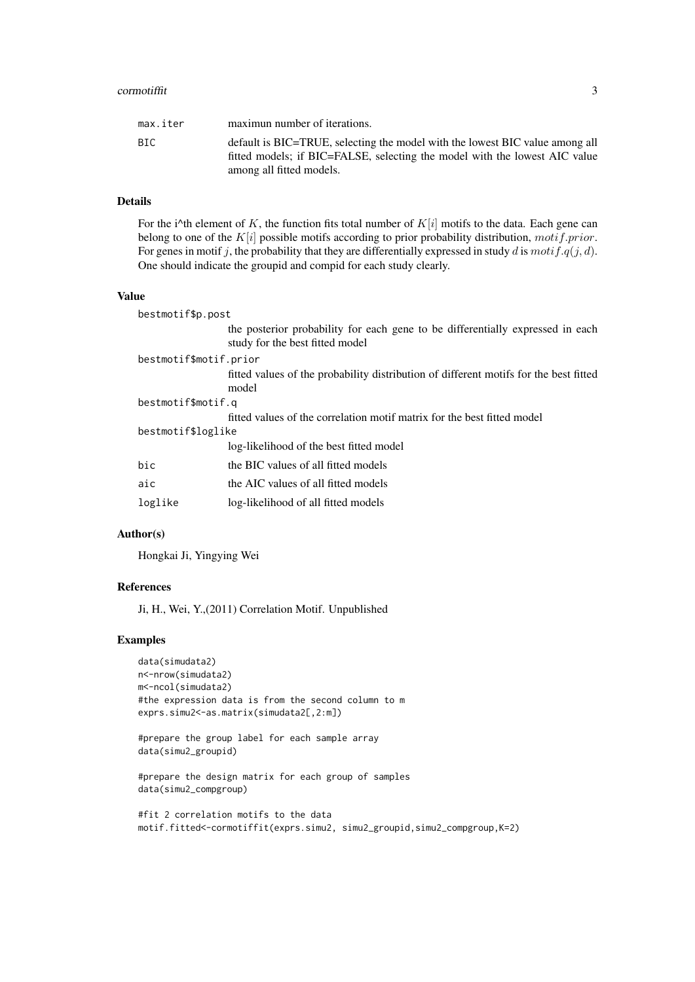#### cormotiffit 3

| BIC.                     | max.iter | maximun number of iterations.                                                                                                                              |
|--------------------------|----------|------------------------------------------------------------------------------------------------------------------------------------------------------------|
| among all fitted models. |          | default is BIC=TRUE, selecting the model with the lowest BIC value among all<br>fitted models; if BIC=FALSE, selecting the model with the lowest AIC value |

## Details

For the i^th element of K, the function fits total number of  $K[i]$  motifs to the data. Each gene can belong to one of the  $K[i]$  possible motifs according to prior probability distribution, motif.prior. For genes in motif j, the probability that they are differentially expressed in study d is  $motif.q(j,d)$ . One should indicate the groupid and compid for each study clearly.

#### Value

| bestmotif\$p.post      |                                                                                                                   |
|------------------------|-------------------------------------------------------------------------------------------------------------------|
|                        | the posterior probability for each gene to be differentially expressed in each<br>study for the best fitted model |
| bestmotif\$motif.prior |                                                                                                                   |
|                        | fitted values of the probability distribution of different motifs for the best fitted<br>model                    |
| bestmotif\$motif.q     |                                                                                                                   |
|                        | fitted values of the correlation motif matrix for the best fitted model                                           |
| bestmotif\$loglike     |                                                                                                                   |
|                        | log-likelihood of the best fitted model                                                                           |
| bic                    | the BIC values of all fitted models                                                                               |
| aic                    | the AIC values of all fitted models                                                                               |
| loglike                | log-likelihood of all fitted models                                                                               |

## Author(s)

Hongkai Ji, Yingying Wei

#### References

Ji, H., Wei, Y.,(2011) Correlation Motif. Unpublished

#### Examples

```
data(simudata2)
n<-nrow(simudata2)
m<-ncol(simudata2)
#the expression data is from the second column to m
exprs.simu2 <- as.matrix(simudata2[,2:m])
```

```
#prepare the group label for each sample array
data(simu2_groupid)
```

```
#prepare the design matrix for each group of samples
data(simu2_compgroup)
```

```
#fit 2 correlation motifs to the data
motif.fitted<-cormotiffit(exprs.simu2, simu2_groupid,simu2_compgroup,K=2)
```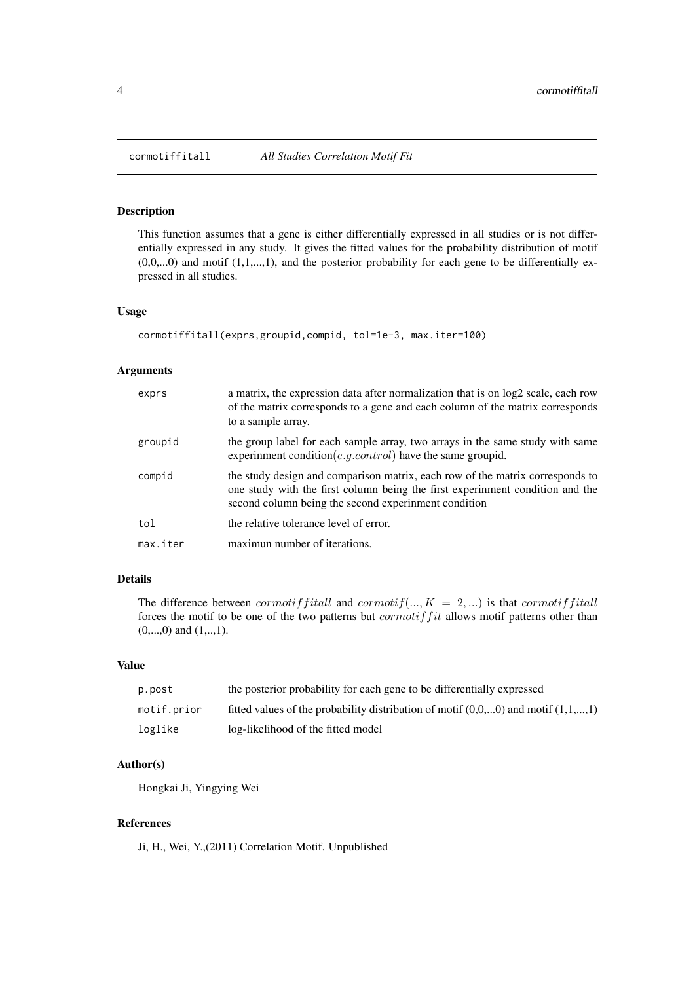<span id="page-3-0"></span>

#### Description

This function assumes that a gene is either differentially expressed in all studies or is not differentially expressed in any study. It gives the fitted values for the probability distribution of motif  $(0,0,...0)$  and motif  $(1,1,...,1)$ , and the posterior probability for each gene to be differentially expressed in all studies.

#### Usage

```
cormotiffitall(exprs,groupid,compid, tol=1e-3, max.iter=100)
```
## Arguments

| exprs    | a matrix, the expression data after normalization that is on $log2$ scale, each row<br>of the matrix corresponds to a gene and each column of the matrix corresponds<br>to a sample array.                             |
|----------|------------------------------------------------------------------------------------------------------------------------------------------------------------------------------------------------------------------------|
| groupid  | the group label for each sample array, two arrays in the same study with same<br>experimment condition( <i>e.g.control</i> ) have the same groupid.                                                                    |
| compid   | the study design and comparison matrix, each row of the matrix corresponds to<br>one study with the first column being the first experimment condition and the<br>second column being the second experimment condition |
| tol      | the relative tolerance level of error.                                                                                                                                                                                 |
| max.iter | maximun number of iterations.                                                                                                                                                                                          |

## Details

The difference between cormotiff itall and cormotif(...,  $K = 2,...$ ) is that cormotiffitall forces the motif to be one of the two patterns but  $commitfit$  allows motif patterns other than  $(0,...,0)$  and  $(1,...,1)$ .

#### Value

| p.post      | the posterior probability for each gene to be differentially expressed                |
|-------------|---------------------------------------------------------------------------------------|
| motif.prior | fitted values of the probability distribution of motif $(0,0,0)$ and motif $(1,1,,1)$ |
| loglike     | log-likelihood of the fitted model                                                    |

#### Author(s)

Hongkai Ji, Yingying Wei

## References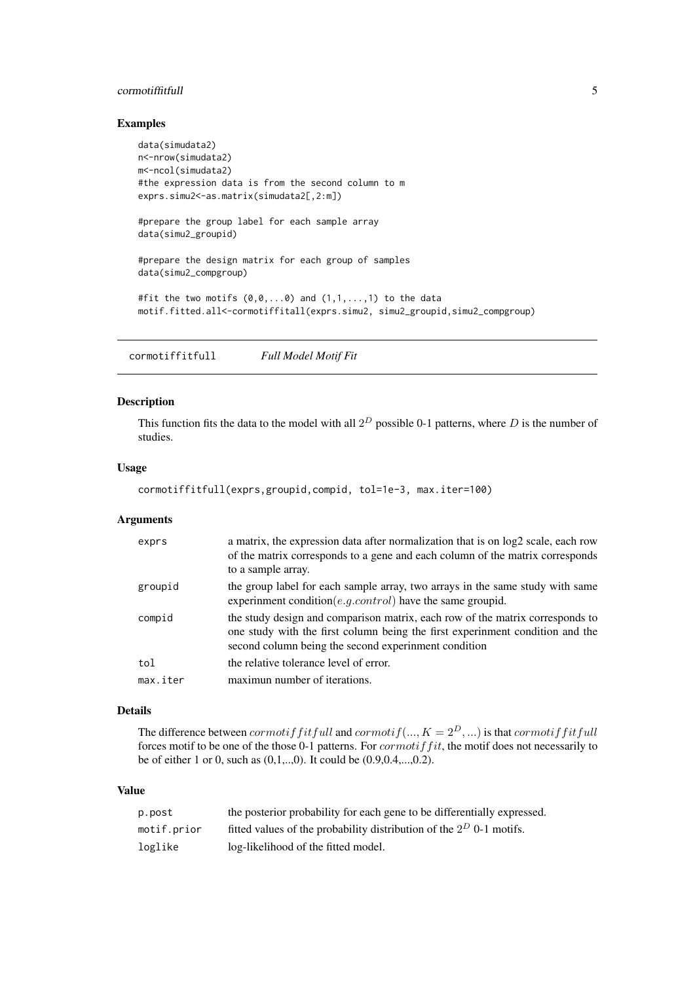#### <span id="page-4-0"></span>cormotiffitfull 5

## Examples

```
data(simudata2)
n<-nrow(simudata2)
m<-ncol(simudata2)
#the expression data is from the second column to m
exprs.simu2 <- as.matrix(simudata2[,2:m])
#prepare the group label for each sample array
data(simu2_groupid)
#prepare the design matrix for each group of samples
data(simu2_compgroup)
#fit the two motifs (0,0,\ldots,0) and (1,1,\ldots,1) to the data
motif.fitted.all<-cormotiffitall(exprs.simu2, simu2_groupid,simu2_compgroup)
```
cormotiffitfull *Full Model Motif Fit*

## Description

This function fits the data to the model with all  $2^D$  possible 0-1 patterns, where D is the number of studies.

#### Usage

```
cormotiffitfull(exprs,groupid,compid, tol=1e-3, max.iter=100)
```
## Arguments

| exprs    | a matrix, the expression data after normalization that is on $log2$ scale, each row<br>of the matrix corresponds to a gene and each column of the matrix corresponds<br>to a sample array.                             |
|----------|------------------------------------------------------------------------------------------------------------------------------------------------------------------------------------------------------------------------|
| groupid  | the group label for each sample array, two arrays in the same study with same<br>experimment condition( <i>e.g.control</i> ) have the same groupid.                                                                    |
| compid   | the study design and comparison matrix, each row of the matrix corresponds to<br>one study with the first column being the first experimment condition and the<br>second column being the second experimment condition |
| tol      | the relative tolerance level of error.                                                                                                                                                                                 |
| max.iter | maximun number of iterations.                                                                                                                                                                                          |

## Details

The difference between *cormotiff itfull* and  $commit(..., K = 2^D, ...)$  is that *cormotiff itfull* forces motif to be one of the those 0-1 patterns. For  $comotiff$  it, the motif does not necessarily to be of either 1 or 0, such as (0,1,..,0). It could be (0.9,0.4,...,0.2).

## Value

| p.post      | the posterior probability for each gene to be differentially expressed. |
|-------------|-------------------------------------------------------------------------|
| motif.prior | fitted values of the probability distribution of the $2^D$ 0-1 motifs.  |
| loglike     | log-likelihood of the fitted model.                                     |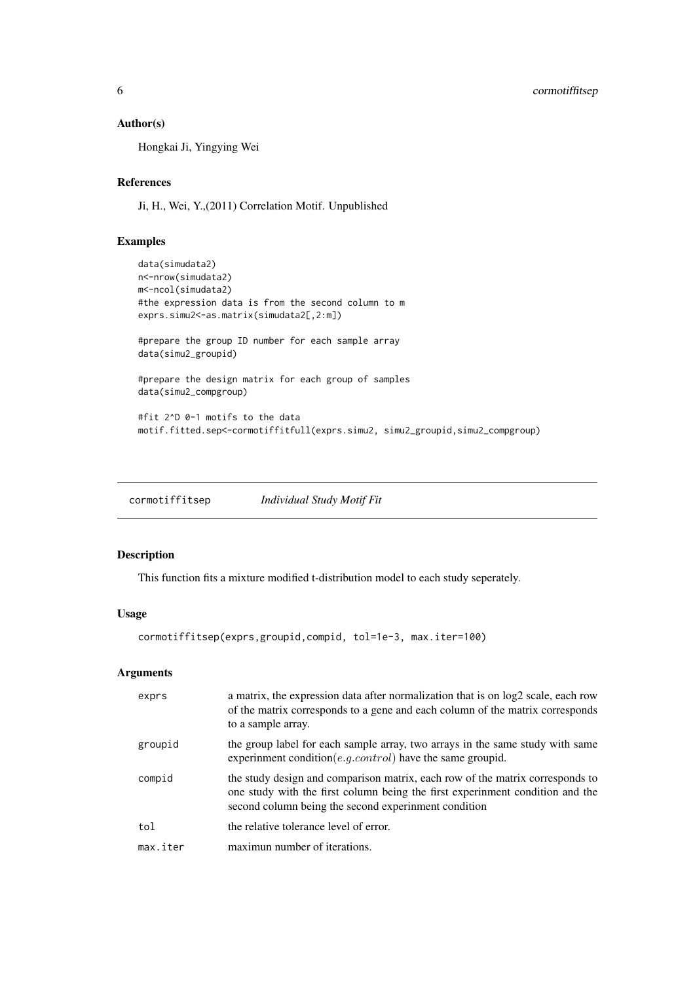## Author(s)

Hongkai Ji, Yingying Wei

#### References

Ji, H., Wei, Y.,(2011) Correlation Motif. Unpublished

## Examples

```
data(simudata2)
n<-nrow(simudata2)
m<-ncol(simudata2)
#the expression data is from the second column to m
exprs.simu2<-as.matrix(simudata2[,2:m])
#prepare the group ID number for each sample array
data(simu2_groupid)
#prepare the design matrix for each group of samples
data(simu2_compgroup)
#fit 2^D 0-1 motifs to the data
motif.fitted.sep<-cormotiffitfull(exprs.simu2, simu2_groupid,simu2_compgroup)
```
cormotiffitsep *Individual Study Motif Fit*

## Description

This function fits a mixture modified t-distribution model to each study seperately.

## Usage

```
cormotiffitsep(exprs,groupid,compid, tol=1e-3, max.iter=100)
```
## Arguments

| exprs    | a matrix, the expression data after normalization that is on log2 scale, each row<br>of the matrix corresponds to a gene and each column of the matrix corresponds<br>to a sample array.                              |
|----------|-----------------------------------------------------------------------------------------------------------------------------------------------------------------------------------------------------------------------|
| groupid  | the group label for each sample array, two arrays in the same study with same<br>experimment condition( <i>e.g.control</i> ) have the same groupid.                                                                   |
| compid   | the study design and comparison matrix, each row of the matrix corresponds to<br>one study with the first column being the first experimment condition and the<br>second column being the second experiment condition |
| tol      | the relative tolerance level of error.                                                                                                                                                                                |
| max.iter | maximun number of iterations.                                                                                                                                                                                         |

<span id="page-5-0"></span>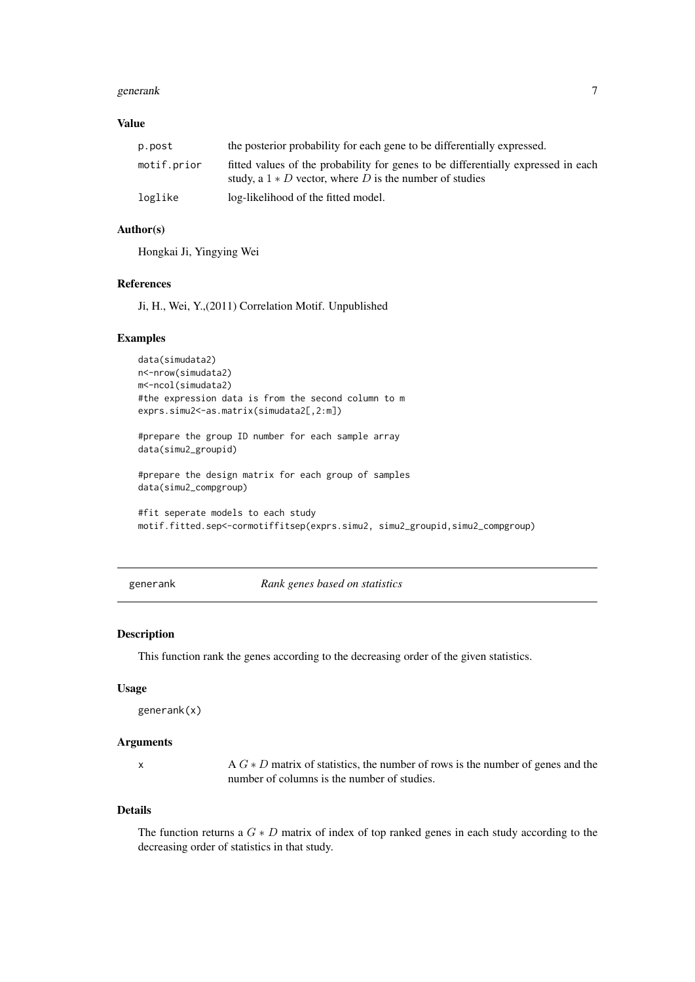#### <span id="page-6-0"></span>generank and the set of the set of the set of the set of the set of the set of the set of the set of the set of the set of the set of the set of the set of the set of the set of the set of the set of the set of the set of

## Value

| p.post      | the posterior probability for each gene to be differentially expressed.                                                                        |  |
|-------------|------------------------------------------------------------------------------------------------------------------------------------------------|--|
| motif.prior | fitted values of the probability for genes to be differentially expressed in each<br>study, a $1 * D$ vector, where D is the number of studies |  |
| loglike     | log-likelihood of the fitted model.                                                                                                            |  |

## Author(s)

Hongkai Ji, Yingying Wei

#### References

Ji, H., Wei, Y.,(2011) Correlation Motif. Unpublished

#### Examples

```
data(simudata2)
n<-nrow(simudata2)
m<-ncol(simudata2)
#the expression data is from the second column to m
exprs.simu2 <- as.matrix(simudata2[,2:m])
#prepare the group ID number for each sample array
data(simu2_groupid)
#prepare the design matrix for each group of samples
data(simu2_compgroup)
```

```
#fit seperate models to each study
motif.fitted.sep<-cormotiffitsep(exprs.simu2, simu2_groupid,simu2_compgroup)
```
generank *Rank genes based on statistics*

## Description

This function rank the genes according to the decreasing order of the given statistics.

## Usage

```
generank(x)
```
#### Arguments

x A  $G * D$  matrix of statistics, the number of rows is the number of genes and the number of columns is the number of studies.

## Details

The function returns a  $G * D$  matrix of index of top ranked genes in each study according to the decreasing order of statistics in that study.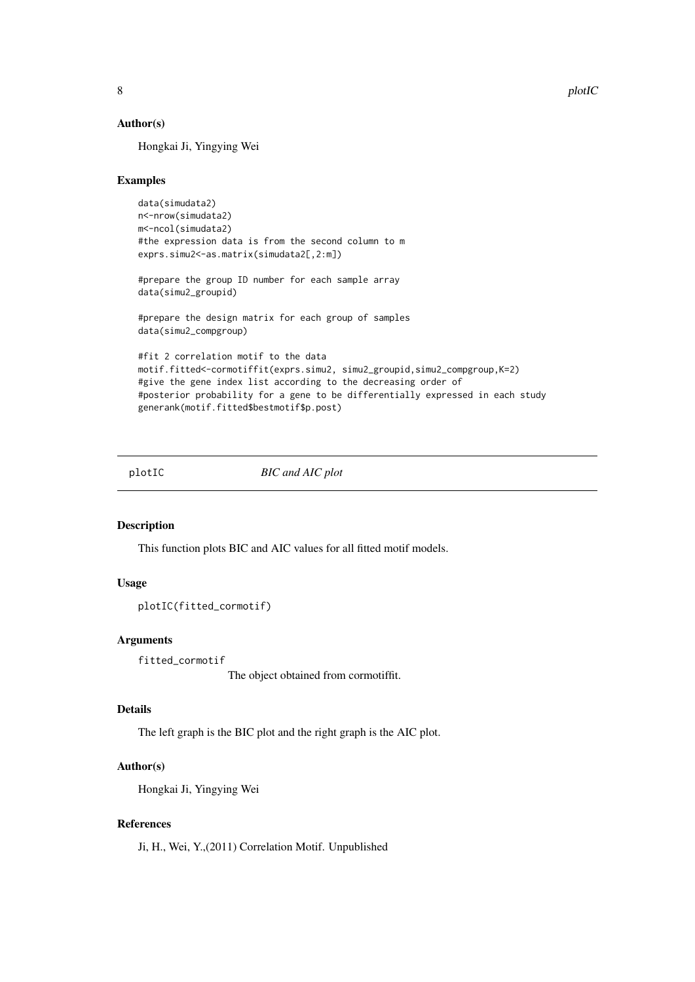8 plotIC

## Author(s)

Hongkai Ji, Yingying Wei

## Examples

```
data(simudata2)
n<-nrow(simudata2)
m<-ncol(simudata2)
#the expression data is from the second column to m
exprs.simu2 <- as.matrix(simudata2[,2:m])
#prepare the group ID number for each sample array
data(simu2_groupid)
#prepare the design matrix for each group of samples
data(simu2_compgroup)
#fit 2 correlation motif to the data
motif.fitted<-cormotiffit(exprs.simu2, simu2_groupid,simu2_compgroup,K=2)
#give the gene index list according to the decreasing order of
#posterior probability for a gene to be differentially expressed in each study
generank(motif.fitted$bestmotif$p.post)
```
plotIC *BIC and AIC plot*

#### Description

This function plots BIC and AIC values for all fitted motif models.

## Usage

```
plotIC(fitted_cormotif)
```
## Arguments

```
fitted_cormotif
```
The object obtained from cormotiffit.

## Details

The left graph is the BIC plot and the right graph is the AIC plot.

## Author(s)

Hongkai Ji, Yingying Wei

## References

<span id="page-7-0"></span>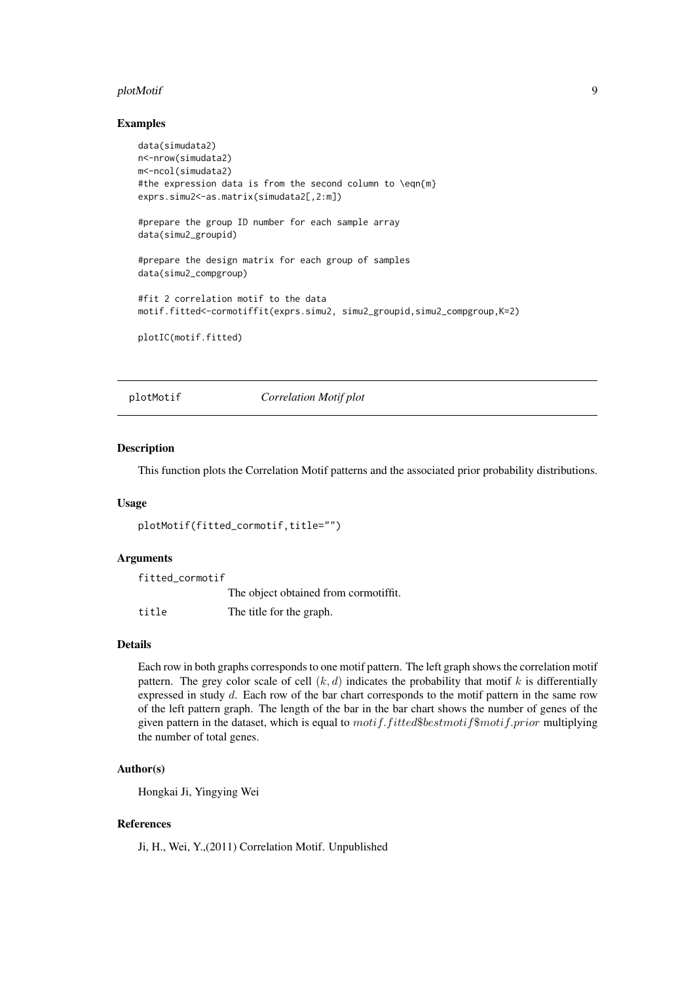#### <span id="page-8-0"></span>plotMotif 9

#### Examples

```
data(simudata2)
n<-nrow(simudata2)
m<-ncol(simudata2)
#the expression data is from the second column to \eqn{m}
exprs.simu2 <- as.matrix(simudata2[,2:m])
#prepare the group ID number for each sample array
data(simu2_groupid)
#prepare the design matrix for each group of samples
data(simu2_compgroup)
#fit 2 correlation motif to the data
motif.fitted<-cormotiffit(exprs.simu2, simu2_groupid,simu2_compgroup,K=2)
plotIC(motif.fitted)
```
plotMotif *Correlation Motif plot*

#### Description

This function plots the Correlation Motif patterns and the associated prior probability distributions.

## Usage

```
plotMotif(fitted_cormotif,title="")
```
## Arguments

| fitted cormotif |                                       |
|-----------------|---------------------------------------|
|                 | The object obtained from cormotiffit. |
| title           | The title for the graph.              |

#### Details

Each row in both graphs corresponds to one motif pattern. The left graph shows the correlation motif pattern. The grey color scale of cell  $(k, d)$  indicates the probability that motif k is differentially expressed in study d. Each row of the bar chart corresponds to the motif pattern in the same row of the left pattern graph. The length of the bar in the bar chart shows the number of genes of the given pattern in the dataset, which is equal to  $motif.fited$bestmotif$motif.print$  multiplying the number of total genes.

#### Author(s)

Hongkai Ji, Yingying Wei

#### References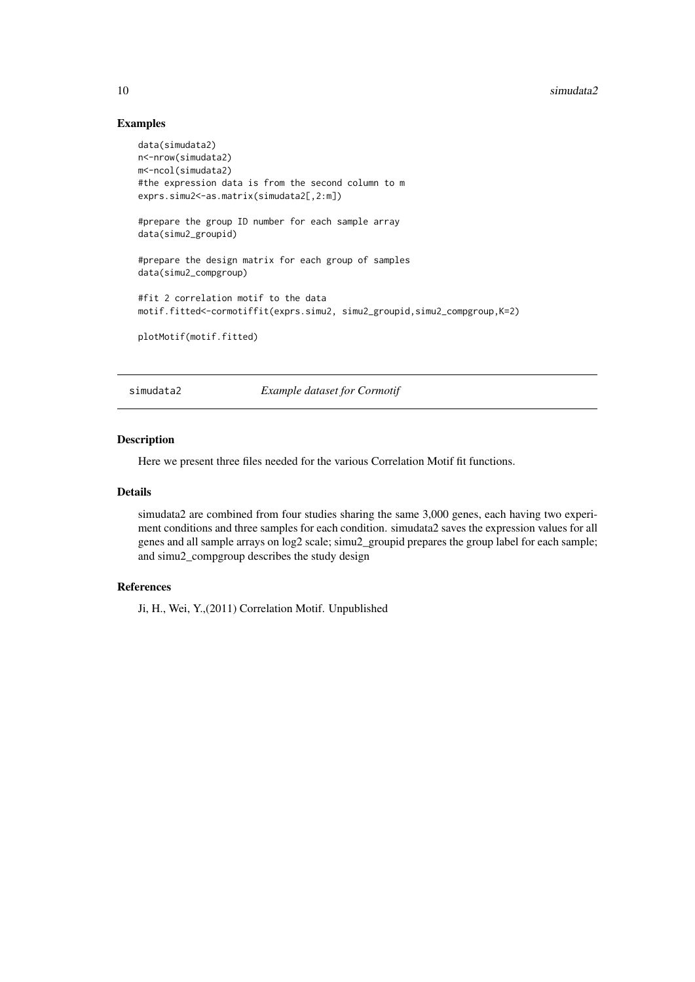#### <span id="page-9-0"></span> $10$  simudata $2$

## Examples

```
data(simudata2)
n<-nrow(simudata2)
m<-ncol(simudata2)
#the expression data is from the second column to m
exprs.simu2 <- as.matrix(simudata2[,2:m])
#prepare the group ID number for each sample array
data(simu2_groupid)
#prepare the design matrix for each group of samples
data(simu2_compgroup)
#fit 2 correlation motif to the data
motif.fitted<-cormotiffit(exprs.simu2, simu2_groupid,simu2_compgroup,K=2)
plotMotif(motif.fitted)
```
simudata2 *Example dataset for Cormotif*

## Description

Here we present three files needed for the various Correlation Motif fit functions.

## Details

simudata2 are combined from four studies sharing the same 3,000 genes, each having two experiment conditions and three samples for each condition. simudata2 saves the expression values for all genes and all sample arrays on log2 scale; simu2\_groupid prepares the group label for each sample; and simu2\_compgroup describes the study design

#### References